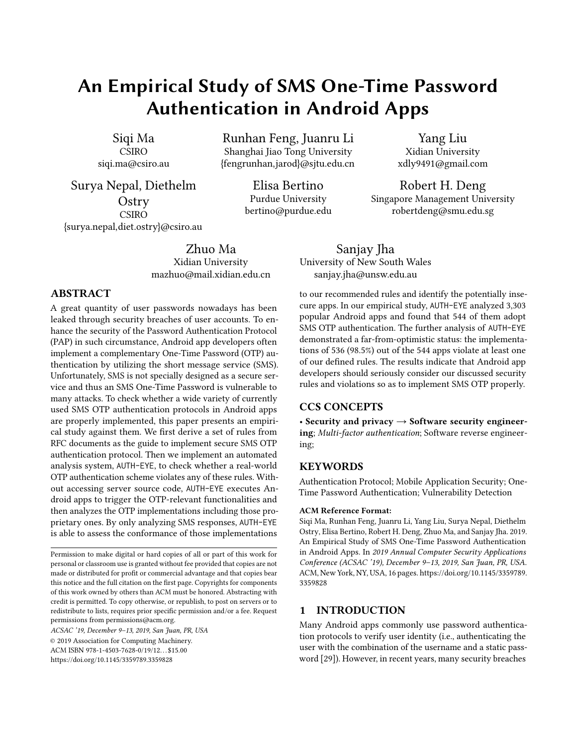# An Empirical Study of SMS One-Time Password Authentication in Android Apps

Siqi Ma CSIRO siqi.ma@csiro.au

Surya Nepal, Diethelm **Ostry** CSIRO {surya.nepal,diet.ostry}@csiro.au

> Zhuo Ma Xidian University mazhuo@mail.xidian.edu.cn

## ABSTRACT

A great quantity of user passwords nowadays has been leaked through security breaches of user accounts. To enhance the security of the Password Authentication Protocol (PAP) in such circumstance, Android app developers often implement a complementary One-Time Password (OTP) authentication by utilizing the short message service (SMS). Unfortunately, SMS is not specially designed as a secure service and thus an SMS One-Time Password is vulnerable to many attacks. To check whether a wide variety of currently used SMS OTP authentication protocols in Android apps are properly implemented, this paper presents an empirical study against them. We first derive a set of rules from RFC documents as the guide to implement secure SMS OTP authentication protocol. Then we implement an automated analysis system, AUTH-EYE, to check whether a real-world OTP authentication scheme violates any of these rules. Without accessing server source code, AUTH-EYE executes Android apps to trigger the OTP-relevant functionalities and then analyzes the OTP implementations including those proprietary ones. By only analyzing SMS responses, AUTH-EYE is able to assess the conformance of those implementations

ACSAC '19, December 9–13, 2019, San Juan, PR, USA © 2019 Association for Computing Machinery. ACM ISBN 978-1-4503-7628-0/19/12. . . \$15.00 <https://doi.org/10.1145/3359789.3359828>

Runhan Feng, Juanru Li Shanghai Jiao Tong University {fengrunhan,jarod}@sjtu.edu.cn

> Elisa Bertino Purdue University bertino@purdue.edu

Yang Liu Xidian University xdly9491@gmail.com

Robert H. Deng Singapore Management University robertdeng@smu.edu.sg

Sanjay Jha University of New South Wales sanjay.jha@unsw.edu.au

to our recommended rules and identify the potentially insecure apps. In our empirical study, AUTH-EYE analyzed 3,303 popular Android apps and found that 544 of them adopt SMS OTP authentication. The further analysis of AUTH-EYE demonstrated a far-from-optimistic status: the implementations of 536 (98.5%) out of the 544 apps violate at least one of our defined rules. The results indicate that Android app developers should seriously consider our discussed security rules and violations so as to implement SMS OTP properly.

# CCS CONCEPTS

• Security and privacy  $\rightarrow$  Software security engineering; Multi-factor authentication; Software reverse engineering;

# **KEYWORDS**

Authentication Protocol; Mobile Application Security; One-Time Password Authentication; Vulnerability Detection

#### ACM Reference Format:

Siqi Ma, Runhan Feng, Juanru Li, Yang Liu, Surya Nepal, Diethelm Ostry, Elisa Bertino, Robert H. Deng, Zhuo Ma, and Sanjay Jha. 2019. An Empirical Study of SMS One-Time Password Authentication in Android Apps. In 2019 Annual Computer Security Applications Conference (ACSAC '19), December 9–13, 2019, San Juan, PR, USA. ACM, New York, NY, USA, [16](#page-15-0) pages. [https://doi.org/10.1145/3359789.](https://doi.org/10.1145/3359789.3359828) [3359828](https://doi.org/10.1145/3359789.3359828)

#### 1 INTRODUCTION

Many Android apps commonly use password authentication protocols to verify user identity (i.e., authenticating the user with the combination of the username and a static password [\[29\]](#page-14-0)). However, in recent years, many security breaches

Permission to make digital or hard copies of all or part of this work for personal or classroom use is granted without fee provided that copies are not made or distributed for profit or commercial advantage and that copies bear this notice and the full citation on the first page. Copyrights for components of this work owned by others than ACM must be honored. Abstracting with credit is permitted. To copy otherwise, or republish, to post on servers or to redistribute to lists, requires prior specific permission and/or a fee. Request permissions from permissions@acm.org.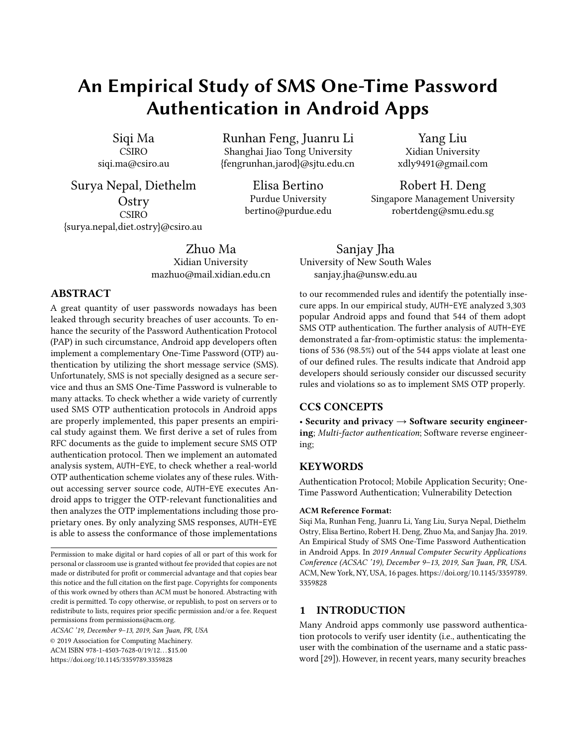led to large-scale password leakage $^{\rm 1}$  $^{\rm 1}$  $^{\rm 1}$ . Moreover, users usually choose weak passwords (e.g., the infamous "123456") because a secure password is often too complex to remember. Because of such issues, a single password authentication becomes vulnerable to attacks such as brute force or dictionary based search, and thus is not suitable for user login protection.

To address the above security issues, one-time password (OTP, also known as dynamic password) authentication is used. Referred to as two-factor authentication, the enhanced validation requires the user to provide both a static password and a dynamic OTP. The OTP here is used to protect validation systems against typical attacks because attackers must determine and consume each OTP before the legitimate user can do so for each authentication session. Typically, an OTP is generated through a security token or retrieved from the server via a secure channel. For example, Google and Apple use both static passwords set by users and dynamic passwords generated by mobile authenticators (e.g., the Google Authenticator [\[20\]](#page-14-1)). Another case is the CITI Bank app, which requires both the static password and an additional dynamic password generated by a portable security token [\[5,](#page-13-0) [21\]](#page-14-2).

Designing a secure OTP authentication protocol is, however, challenging and error-prone [\[22\]](#page-14-3). The security of OTP authentication is regulated by a number of RFC documents and a secure OTP authentication must satisfy several security requirements. A crucial requirement is how to generate and deliver the OTP securely. For an Android app, it is often too heavyweight and inconvenient to deploy a portable security token or a mobile authenticator. Therefore, generating and transferring OTP through the short message service (SMS) becomes the most prevalent implementation $^2$  $^2$ .

We observed that although several techniques have been proposed to analyze designs and implementations of traditional password authentication in Android apps [\[6,](#page-13-1) [30,](#page-14-4) [48\]](#page-15-1), seldom studies considered SMS OTP authentications and barely analyzed the implementation security of them. In this paper, we focus on security requirements of the SMS OTP authentication protocol (hereinafter, we refer it as OTP authentication protocol) and conduct an empirical evaluation of the security of user validation systems which implement OTP authentication protocols. The purpose of our study is two-fold: (1) investigating the OTP authentication protocol in the Android ecosystem, and (2) identifying apps which implement vulnerable OTP authentication. We focus on Android apps because Android is the most widely used mobile operating system [\[8\]](#page-13-2) and a large number of Android apps adopt OTP authentications.

Our goal is to check how well an OTP implementation (including the server side and the app side) complies with a set of OTP authentication protocol rules (hereinafter, it is referred to as OTP rules), which we derive from the best practices outlined in a number of RFCs<sup>[3](#page-1-2)</sup>. Since these rules are recommended as the best practices for implement secure OTP protocols, we propose a novel analysis system, AUTH-EYE, which determines whether OTP implementations violate our defined OTP rules. AUTH-EYE locates and executes login via an app to trigger the relevant functionalities in server's validation system and then examines server behaviours (i.e., server requests and responses). Unlike previous code-based approaches using semantic executions and code dependencies [\[49,](#page-15-2) [52\]](#page-15-3), AUTH-EYE only relies on limited app code information (i.e., class names and function names). Moreover, since source code of remote servers is often not available, AUTH-EYE treats each remote server as a black box and thus only checks its authentication system by analyzing the server responses.

We applied AUTH-EYE to assess 3,303 popular Android apps, collected from the top 2 Android app markets: Google Play and Tencent marketplaces. We observed that there are three types of login schemes, only password authentication, only OTP authentication, and two-factor authentication with both password authentication and OTP authentication. Since we only focus on OTP authentication in this paper, AUTH-EYE found 544 apps implemented OTP authentication protocols in total. For the apps with two-factor authentication, we manually registered an account and filled in the corresponding username and password in each app. Surprisingly, AUTH-EYE detected that OTP authentication protocols in 536 (98.6%) out of the 544 apps violate at least one of our defined OTP rules, and only eight (1.4%) apps implement their OTP authentication protocols with all OTP rules satisfied. This indicates that developers may not be aware of the OTP security recommendations outlined in the RFCs, and AUTH-EYE can be used to help them implement more secure OTP authentication protocols.

Contributions: Our contributions are:

- We derived a set of OTP rules that developers should follow to implement secure OTP authentication protocol. Those rules are summarized from RFC documents and then used to check implementations of OTP authentication protocols in remote servers.
- We proposed a novel analysis system, AUTH-EYE, to automatically evaluate protocol implementations. In particular, AUTH-EYE conducts an efficient code analysis to locate login Activities in apps, requiring only

<span id="page-1-0"></span><sup>1</sup>Massive breach leaks 773 million email addresses and 21 million passwords https://www.cnet.com/news/massive-breach-leaks-773-millionemails-21-million-passwords/

<span id="page-1-1"></span><sup>2</sup>https://www.quora.com/Why-do-companies-use-SMS-and-OTP-toverify-the-mobile-number-doesnt-one-suffice

<span id="page-1-2"></span><sup>3</sup>Protocols defined in RFC: RFC 4226 [\[35\]](#page-14-5), RFC 2289 [\[22\]](#page-14-3), RFC 6238 [\[36\]](#page-14-6), RFC 1750 [\[14\]](#page-14-7) and RFC 4086 [\[15\]](#page-14-8)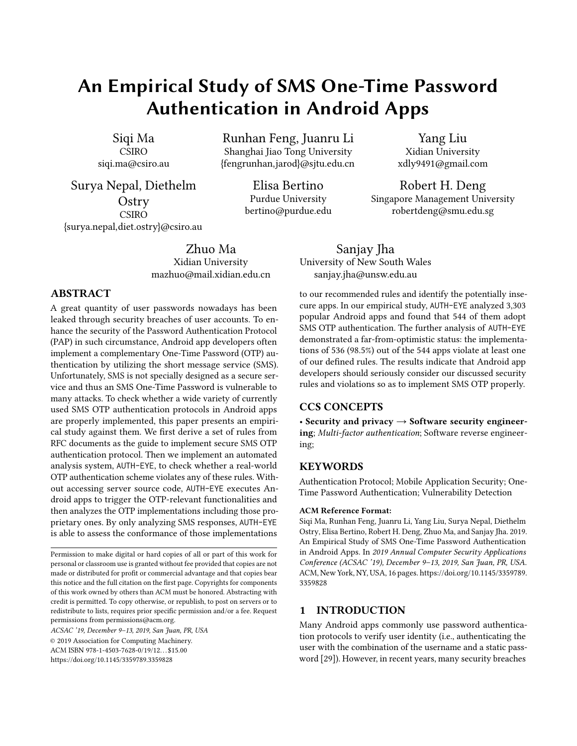limited semantic information. It also examines the remote validation system by only analyzing the network (and SMS) requests and responses rather than source code on server sides.

• We tested 3,303 real-world Android apps with AUTH-EYE and found 544 apps adopt OTP authentication, and AUTH-EYE reported that a large notion of those apps violates at least one of our defined OTP rules.

# <span id="page-2-0"></span>2 DEFINITIONS AND OTP RULES

In this section, we introduce the OTP authentication protocols, and explain OTP rules for designing and implementing OTP authentication protocols properly.

# 2.1 One-Time Password Authentication Protocol

When a user account is created in OTP authentication protocols, the account is bound to the user by the possession of some information specific to the user, such as a mobile phone number or an email address. At login, an OTP is created for the user who must correctly return it. Android apps often use SMS OTP authentication, where the server generates a pseudo-random value as an OTP and sends it via SMS to the mobile phone number in the user's profile. Such a pseudo-random value is shared only between the server and the user owning the mobile phone. The user then submits the received value to the server for authentication. The unpredictable and unique nature of the pseudo-random value prevents password replay attacks. Two algorithms (namely HMAC-based OTP and time-based OTP) are widely used to generate the one-time password.

2.1.1 HMAC-based One-Time Password (HOTP). The algorithm of HMAC-based one-time password (HOTP) combines an incrementing counter value  $(C)$  and a secret key  $(K)$  to generate the one-time password. The OTP value generated by the HOTP algorithm is defined as [\[35\]](#page-14-5):

$$
value = HOTP(K, C),
$$

where  $HOTP$  is the function:

$$
HOTP(K, C) = Truncated(HMAC_H(K, C)).
$$

where  $H$  is a cryptographic hash function, and the output of the hash function  $HMAC_H$  is truncated to a user-friendly size.

An HOTP value with a short length is convenient, but vulnerable to brute-force attacks. To address this problem, RFC 4426 recommends two steps: 1) the maximum number of possible attempts per login session should be set beforehand, and 2) each failed attempt should introduce an additional delay before a retry is permitted. RFC 4426 also suggests

that with these protective steps the length of an HOTP value should be at least six digits.

2.1.2 Time-based One-Time Password (TOTP). The timebased one-time password (TOTP) algorithm [\[36\]](#page-14-6) is an extension of the HOTP algorithm, using elapsed time increments instead of an event counter. Because of human and network latency, the one-time password for each login session must remain valid over a time interval (defined by the time step parameter). Based on RFC 6238, the OTP value generated by the TOTP algorithm is defined as:

$$
value = HOTP(K, C_T)
$$

where K is a secret key, and  $C_T$  is an integer counting the number of completed time steps between the initial counter time  $T_0$  and the current Unix time. Given a time step  $T_x$  in seconds,  $\mathcal{C}_T$  is calculated as:

$$
C_T = \frac{(current\,unix\,time - T_0)}{T_x}
$$

Due to the network latency, the number of time steps  $(C_T)$ <br>calculated by clients and servers may differ and so resulting calculated by clients and servers may differ and so resulting in different TOTP values. This problem can be addressed by setting the OTP time step  $T_x$  to an acceptable size. The OTPs generated anytime within a time step will be the same and will allow the user to login successfully. However, depending on when a login request is made, a server might reasonably accept OTPs from earlier or later time steps. For example, if an OTP is generated near the end of a time step, the user may compute a counter based on the succeeding time step due to latency. To take this into account, the server may accept OTPs computed from time steps +/-1 from its current time step. A larger time step makes the OTP authentication protocol with a TOTP value become more vulnerable because it offers an attacker more time to guess the TOTP value and consume the TOTP value before the valid user does. To balance the security and the usability of this authentication scheme, RFC 6238 recommends setting the size of the time step to 30 seconds.

Furthermore, the server must ensure that sufficient time has elapsed between generating successive TOTP values so that the number of time steps  $(C_T)$  has changed.

#### 2.2 Best Practices and Threats for OTP

In this subsection, we first summarize six OTP rules (i.e., rules for secure OTP implementation) according to RFC documents, and then discuss threats against OTP authentications if one or more rules are violated.

2.2.1 OTP Rules. Several RFC documents such as RFC 4226 [\[35\]](#page-14-5), RFC 2289 [\[22\]](#page-14-3), RFC 6238 [\[36\]](#page-14-6), RFC 1750 [\[14\]](#page-14-7), and RFC 4086 [\[15\]](#page-14-8) regulate how to securely implement an OTP authentication protocol. We conclude them as six OTP rules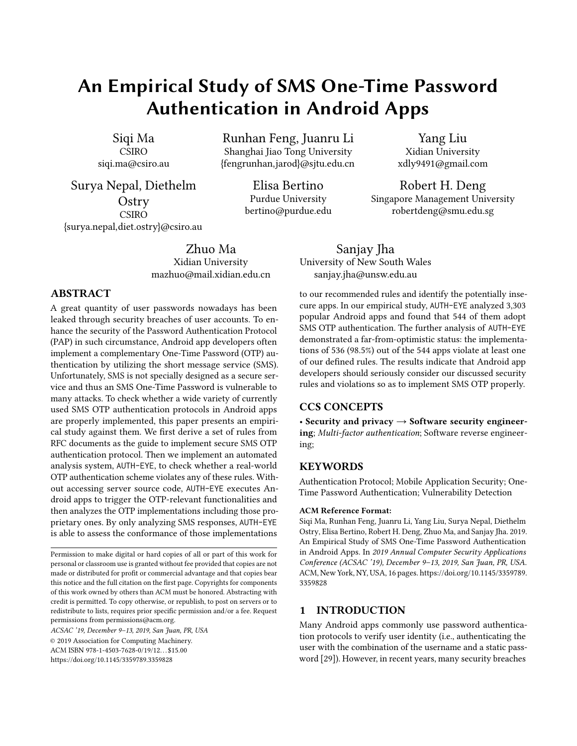ACSAC '19, December 9–13, 2019, San Juan, PR, USA Siqi et al.

that developers are recommended to follow for a secure OTP implementation.

R1: OTP Randomness–Use a random value as an OTP for authentication.

The server needs a cryptographically strong pseudo-random number generator to generate the OTP value for each login session, as an attacker can exploit any detectable nonrandomness in the successive OTPs. Some poor pseudorandom number generators can be identified from the series [\[14\]](#page-14-7), or values in the sequence may appear periodically. In the worst situation, an implementation of OTP authentication may keep using a static value as the OTP for all authentication sessions.

R2: OTP Length–Generate an OTP value with at least six digits.

The official document RFC 4226 [\[35\]](#page-14-5) points out that "the value displayed on the token MUST be easily read and entered by the user.". It requires that the OTP value should also be of reasonable length. Particularly, RFC 4226 indicates that an OTP value of at least six digits could adequately reduce the probability of a successful brute-force attack. In view of both usability and security considerations, OTP values with a length from six to eight digits achieve the required overall performance.

R3: Retry Attempts–Set a limit on the number of validation attempts allowed per login.

RFC 4226 [\[35\]](#page-14-5) recommend a maximum number of possible attempts for OTP validation. In particular, when the maximum number of attempts is reached, the server must lock out the user's account to defend against a brute-force attack.

R4: OTP Consumption–Only allow each OTP value to be consumed once.

According to the definition of the OTP authentication protocol, each OTP should only be valid for one authentication session.

R5: OTP Expiration–Reject expired OTP values generated by the TOTP algorithm.

Referring to RFC 6238 [\[36\]](#page-14-6), the OTP value generated in the next time step MUST be different. It represents that the OTP value generated by the TOTP algorithm should only be valid for a limited time.

R6: OTP Renewal Interval–OTP values generated by the TOTP algorithm should be valid for at most 30 seconds.

Due to the network latency issue, RFC 6238 [\[36\]](#page-14-6) recommends that "A validation system **SHOULD** typically set a policy for an acceptance OTP transmission delay window for validation."; thus, a renewal interval is allowed. For the renewal interval, the login validation system achieves a higher usability by allowing for a longer latency, potentially caused

by human and network operations. To balance the demands of usability and security, RFC 6238 suggests that the OTP should be renewed every 30 seconds.

2.2.2 Threats against OTP Authentication. We determine whether an implementation of the OTP authentication protocol is secure, in that it should at least meet the following two requirements:

- (1) The authentication protocol should not be vulnerable to brute force attacks.
- (2) The authentication protocol should be secure against replay attacks.

We observe that if one or more defined OTP rules are violated, the above two requirements may not be satisfied. In the following, we discuss how the violation of our defined OTP rules threats the security of OTP authentication.

- The violation of R1 indicates that an OTP becomes predictable, and thus the validation systems are vulnerable to replay attacks, allowing attackers to impersonate legitimate users.
- The violation of R2 indicates that an OTP is of limited length, which is vulnerable to brute-force attacks and may be cracked within a few minutes [\[11\]](#page-14-9).
- The violation of R3 indicates that an attacker could easily guess the OTP value through a brute-force attack if unlimited attempts are allowed.
- The violation of R4 indicates that a validation system allows an OTP to be used multiple times and thus is vulnerable to replay attacks.
- The violation of R5 indicates that a validation system accepts an expired OTP value and thus allows an unlimited time for an attacker to discover the OTP and consume it before the legitimate user does.
- The violation of R6 indicates that a validation system provides a long time window for an attacker to crack the OTP.

Moreover, we observe that even though the violation of a single rule might not cause severe security issues, powerful attacks could be launched if multiple rules are violated simultaneously:

- (1) Violation of R1 and any of the other rules. A static OTP value is always vulnerable to replay attacks.
- (2) Violation of R2 and R3. For an OTP value with length less than six, an attacker can easily crack the OTP value if the number of validation attempts is unlimited (i.e., vulnerable to brute force attacks).
- (3) Violation of R2 and R4. The violation of R4 allows an attack to reuse current OTP values to launch replay attacks. At the same time, if R2 is also violated, attackers can easily extract OTP values for further attacks.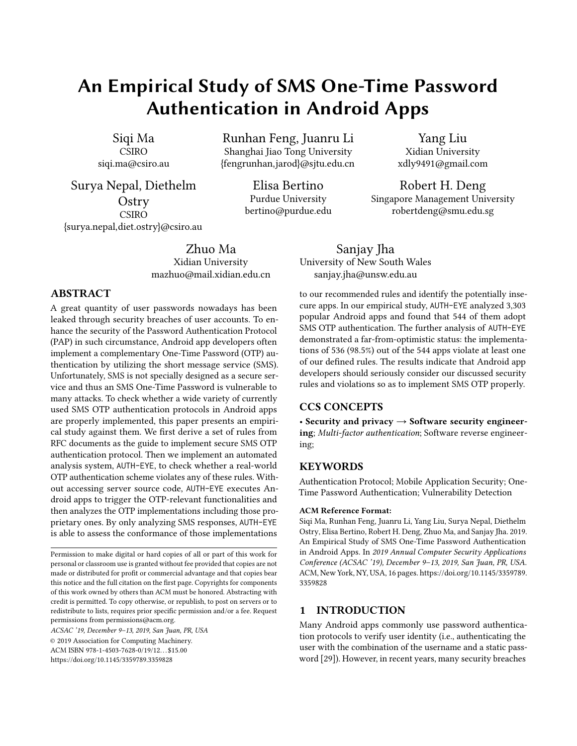- (4) Violation of R4 and R5. The OTP validation system is vulnerable to replay attacks by allowing an OTP to be used multiple times. In addition, if the validation system does not set OTP expiration, an attacker is able to launch replay attacks by providing the same OTP value. Even though an OTP is encrypted, the attacker can request for verification by submitting the encrypted format directly.
- (5) Violation of R2, R3, and R6. Similar to situation (2), an OTP validation with a larger renewal interval provides an attack enough time to crack an OTP with less than six digits. It is vulnerable to brute force attacks.

# <span id="page-4-0"></span>3 OTP AUTHENTICATION IN ANDROID

Analyzing OTP authentication protocols implemented in real-world servers require addressing several challenges. Below, we describe the challenges, each followed by our approach to address it.

Challenge 1: How to identify OTP authentication implementations that violation the aforementioned OTP rules without access to the source code? Static code analysis is the most popular technique to locate implementation flaws. However, this technique does not work because server source code is not publicly available. The other technique is to identify functionalities supported by servers and interact with servers. Many attack-based techniques have been proposed based on this approach [\[25\]](#page-14-10) [\[27\]](#page-14-11). However, we cannot apply this approach in our case for ethical reasons.

Our approach 1: Interacting with servers. We search for implementation violations via legitimate interactions with servers. Executing an app triggers the validation functionalities of OTP authentication implemented in the app server. Referring to the OTP rules defined in Section [2,](#page-2-0) we design experiments to test the functionalities and determine whether the implemented OTP authentication protocol obeys all the OTP rules.

Challenge 2: How to locate the app code that triggers the validation functionalities of OTP authentication? We perform login by executing Android apps to explore the functionalities of OTP authentication at remote servers. Hence, we need to locate OTP login Activities in apps. To find such Activities, we decompile each app and search for functions declaring login Activities. However, developers use a variety of names for these functions, which makes identification more complicated. While we can recognize the login functions by matching data- and control-dependencies with execution patterns, such a strategy does not always succeed because the code decompilation of an app may be incomplete. Thus, we need a broader approach to identify login functions that requires less code information.

Our approach 2: Recognizing OTP login functions semantically. Login Activity declarations, including class information (i.e., class name and name of the extended class) and function information (i.e., function name and argument name) are more complete than other relevant information, such as control-dependencies and API names. Moreover, login Activity declarations reflect which functionalities are included in the class. Although name recognition is challenging, we observe that developers prefer to use similar words to name similar functionalities. This provides a way to identify login-related functions by applying syntax and lexical analysis.

Challenge 3: How to perform login Activities to interact with each server? Once the login Activity declarations are located, we send login requests via the login Activity in each app, triggering the OTP validation system at the remote server. We can manually send login requests, but it does not scale to a large number of apps. To automate the process, we need to design a system that follows the login process precisely. Otherwise, irrelevant services might be triggered, which cause unexpected errors. For example, a button requesting a password reset might be clicked accidentally, possibly switching from the current login page to a password reset page.

Our approach 3: Extracting the position of each widget. After app decompilation, there is a file describing all the involved widgets, including their names, layouts, types, positions, etc. The widget type information helps to identify the widgets used for editing texts and clicking buttons. The widget name implies its purpose, and its layout gives its position. Through this information we can locate the required widgets precisely and execute further operations.

Challenge 4: How to parse the received server messages? Responses from a server are texts containing both useful information (e.g., valid OTP, its expiration, etc.) and irrelevant material. Furthermore, OTP authentication protocols implemented in different servers have different functionalities, which indicates that their responses differ. To deal with this issue, we need a mechanism to systematically process these server messages and recognize the fields containing the useful information.

Our approach 4: Examining altered fields in each message. We identify fields that are altered by comparing multiple responses. Although OTP authentication protocols with different functionalities may give different responses, some essential fields in these responses still follow particular formats. For example, the description of OTP expiration is usually in the format of a decimal followed by a string as "second(s)", "minute(s)" or "hour(s)". With some prior information like this, we discover the used formats and furthermore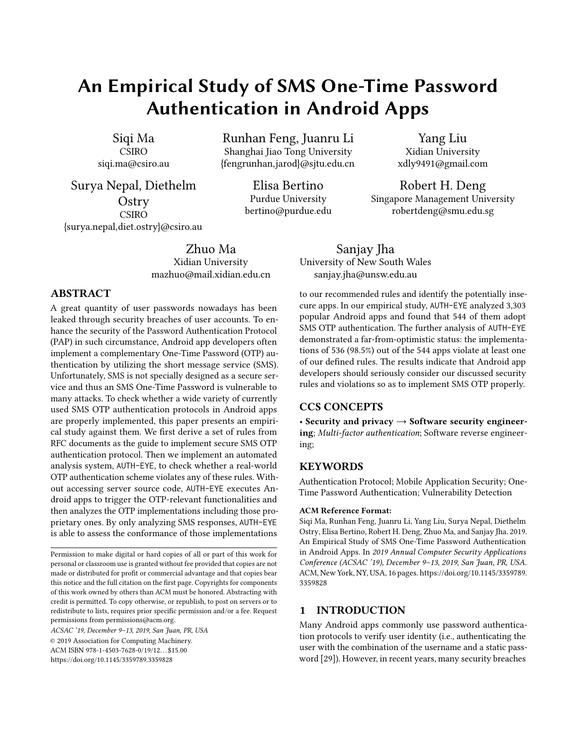<span id="page-5-0"></span>

Figure 1: The workflow of **AUTH-EYE**

find what functionality is implemented by sending multiple requests to the same server.

# 4 SYSTEM DESIGN: **AUTH-EYE**

This section describes our automated system, AUTH-EYE, which analyzes Android apps and detects violations of the OTP rules defined in Section [2.](#page-2-0) AUTH-EYE is built following the approaches outlined in Section [3](#page-4-0) to address the critical challenges while examining OTP protocol implementations. AUTH-EYE comprises two components: a Login Code Detector and an Auth Message Analyzer, and Figure [1](#page-5-0) illustrates the system workflow. We next describe the system in detail.

## 4.1 Login Code Detector

As mentioned earlier, our focus is on the SMS OTP authentication protocol. The function of the login code detector is to analyze a set of apps and generate an OTP List of the apps that implement SMS OTP login activities. AUTH-EYE achieves this in two steps: app decompilation and Login Activity locating, which are detailed as follows.

4.1.1 App Decompilation. AUTH-EYE is built on top of the JEB Android decompiler [\[42\]](#page-14-12). The login code detector first takes apps as inputs and uses JEB to decompile them into their java source code.

4.1.2 Login Activity Locating. Since AUTH-EYE only focuses on OTP authentication, it first needs to distinguish Activities of OTP authentication from that of password authentication. However, since both Activities are named similarly in layout files, it is hard for AUTH-EYE to distinguish OTP authentication via the layout files only. Therefore, AUTH-EYE examines the java source code of each app to identify those which implement login activities. AUTH-EYE first looks for

Activities that were declared by developers (i.e., customized classes and functions) and then identifies functions that fulfill login Activities. The examination steps of how AUTH-EYE recognizes OTP login Activities in apps are detailed below.

Customized Package Selection. We observe that Activities commonly exist in customized packages (i.e., declared by developers) and seldom exist in third-party libraries. Therefore, AUTH-EYE needs to distinguish customized packages from the standard packages declared in third-party libraries. AUTH-EYE adopts a heuristic approach to achieve this target: it ONLY collects class names of Activities in an app and analyzes the first two fields in a class name. For example, in the class name cx.itxxx.usercenter.activity<sup>[4](#page-5-1)</sup>, the first two fields, cn.itxxx, indicate the identity of the developer, while the last part, usercenter.activity, refers to the functions that are related to an Activity. In one app there often exist many Activities. AUTH-EYE defines the most frequently appeared first-two-fields prefix as the developer's information, and then deems packages with this developer's information as customized packages. According to our manual inspection on 2,210 popular Android apps, 2,153 apps follow this pattern and thus AUTH-EYE could apply this approach to locate customized packages.

Login Function Identification. Once the customized packages are identified, AUTH-EYE locates classes and functions with login Activities. A common strategy for understanding a function semantically is to search for specific words and dependency patterns. However, in our case this strategy fails to extract semantic information effectively for the following reasons:

- Non-Uniform Representation: Developers often choose function and variable names arbitrarily. They often use different names for functions and variables with the same purpose, such as the AccountLoginActivity login functions and PhoneLogin. For a matching approach to succeed, we thus need a dataset with a large number of potential keywords.
- Vague Explanation: Developers may use identical words but combine these words in different orders to name different functions. The meanings of these functions are significantly different. This makes a simple keyword comparison inaccurate. For example, the function LoginPhoneAct refers to the activity of extracting phone settings, but PhoneLoginAct specifies login via mobile phone.
- Unclear Expression: Developers often use abbreviations and colloquial terms (e.g., AccountAct) to declare an Activity. Moreover, the decompilation replaces some

<span id="page-5-1"></span><sup>4</sup>We used 'x' to conceal the details of this developer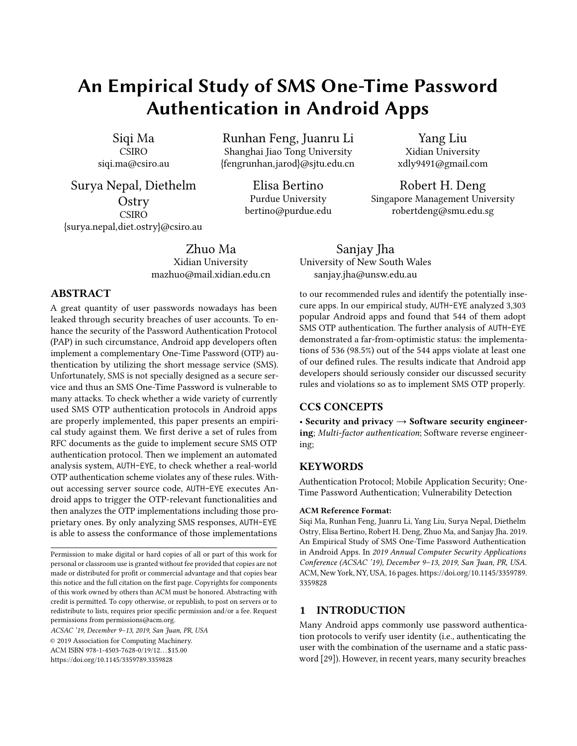APIs by using abstract formats, e.g., UserLogin.a. Abbreviations and abstract formats like this are more difficult to recognize through a simple keyword matching.

• Partial Decompilation: We cannot completely decompile apps with protected code snippets. Hence, the patterns extracted through the data and control dependencies may be inadequate.

To gain a further understanding of these difficulties, we manually inspected the source code of each app. We found that class names are usually fully decompiled, and follow some specific formats. For example, developers use similar words (e.g., login, auth) with similar formats to name a login Activity. Therefore, we propose a natural language processing [\[33\]](#page-14-13) (NLP) based approach, which is widely used to evaluate the semantic similarity between a pair of words, to extract the semantic information from class and function names and so address the second challenge.

We first manually construct a reference set for similarity comparison. We collected the login-related class names and function names from  $4,665$  $4,665$  repositories posted on Github<sup>5</sup>, where open source apps display the code with login Activities. A context is required for measuring the semantic similarity between an unknown name and names in the reference set. Because we compare the semantic similarity of two words defined in programming code, text corpora such as Wikipedia and Google Book Ngram Corpus are not appropriate. Instead, we generated our own code corpus by using all posts on Stack-Overflow.To compare an unknown name with names in the reference set, AUTH-EYE converts the words in code corpus into sets of vectors by using Word2vec [\[34\]](#page-14-14) and computes a cosine distance between the unknown name and each name in the reference set. The cosine distance between two words gives a measure of their semantic similarity, where a greater cosine distance represents a higher semantic similarity. Using the reference set, AUTH-EYE proceeds according to the following steps to identify functions related to login Activities:

- (1) AUTH-EYE splits each name into several words based on the occurrence of uppercase letters to improve the accuracy of a comparison between an unknown name and names in the reference set. We assume the standard programming practice in which the names of classes and functions are usually a combination of several words, capitalized at word boundaries.
- (2) AUTH-EYE compares each word with the names in the reference set and computes the corresponding similarity scores. The highest score found for the word is taken as its similarity score.
- (3) AUTH-EYE calculates the semantic similarity by taking the average similarity of all words in the name. If the average similarity score is higher than a threshold, the corresponding class name is labeled as a "login".
- (4) AUTH-EYE runs steps (1) (3) iteratively to distinguish "login" classes and then repeats the three steps to label "login" functions in these classes.

For example, consider the function name doLogin. The highest semantic similarity score is 0.43 if AUTH-EYE compares the entire name with each word in the reference set. If the name is divided into single words as "do" and "Login", its average semantic similarity is 0.66 as the similarity scores for two words are 0.33 and 0.98, respectively.

SMS OTP Identification. AUTH-EYE examines the identified login function to determine whether its functionality is SMS OTP login.

Even though the java code for each app may be only partially decompiled, the layout XML file can be fully extracted. Therefore, AUTH-EYE identifies the apps implementing SMS OTP login Activities by analyzing the layout XML files instead of analyzing the login function code. For each identified login function, AUTH-EYE uses UI Automator [\[1\]](#page-13-3) to find the name of the corresponding layout XML file from the "public.xml" file. In the layout XML file, UI Automator parses all the information describing each widget, such as type, text, orientation, and position (i.e., its layout).

Differently from the case with function declarations, we find that each widget is named formally. Thus, we manually collected a set of keywords (e.g., "smscode" and "mobile-phone") from 13 repositories posted on Github [\[9\]](#page-13-4)<sup>[6](#page-6-1)</sup> to construct a keyword list. In order to identify whether a widget is related to SMS OTP login, AUTH-EYE chooses the widgets for edit text and button. For each widget, AUTH-EYE compares the text in the field of android:text with the words in the keyword list. If any keyword is included in the widget text field, an SMS OTP login is identified, which indicates that its server validates the user's identity through the OTP authentication protocol. AUTH-EYE finally generates an OTP list containing those apps that are identified using SMS OTP login. The widget descriptions, that are relevant to SMS OTP login, are also included.

#### 4.2 Auth Message Analyzer

Taking the OTP app list as an input, the Auth message analyzer of AUTH-EYE then executes OTP login Activities through each listed app to interact with its server. By examining server responses and checking the OTP values, AUTH-EYE determines whether the implemented OTP authentication protocol violates any of the OTP rules.

<span id="page-6-0"></span><sup>5</sup>Repositories on Github: https://github.com/search?q=Login+Android

<span id="page-6-1"></span><sup>6</sup> 13 repositories on Github: https://github.com/search?q=OTP+Login+Android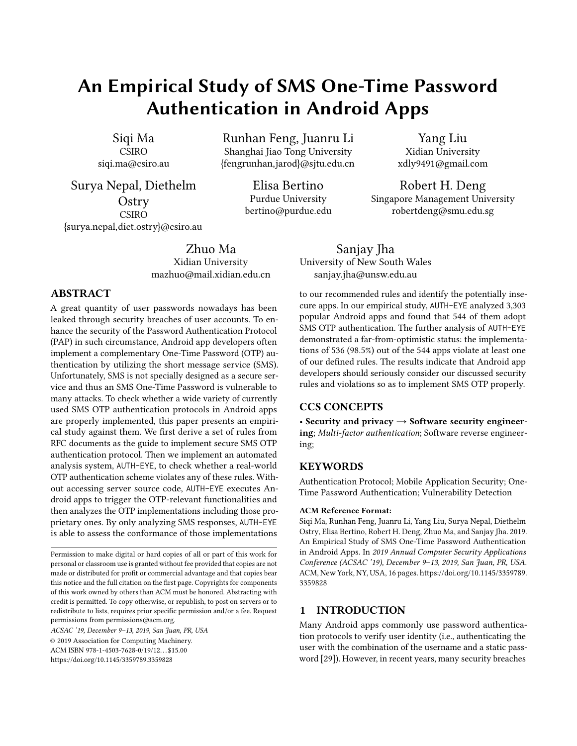4.2.1 OTP Login Execution. AUTH-EYE utilizes Monkey tool, an UI/Application Exerciser [\[2\]](#page-13-5), which triggers SMS OTP login Activities by generating pseudo-random streams of user events (e.g., clicks and button touches). However, the executions of Monkey are somewhat imprecise so that some redundant Activities may be performed accidentally, causing unexpected errors. To improve the efficiency and effectiveness of the automated OTP login testing, AUTH-EYE makes use of the orientation information parsed by UI Automator to precisely locate the widgets (i.e., edit text and button) that are related to SMS OTP login Activities.

To execute a login Activity, AUTH-EYE calls the function dispatchString() to enter a valid mobile phone number into the edit text widget. It then clicks the button to send the mobile phone number to the server, requesting a pseudorandom OTP value. The server response is a text message containing the OTP value and some textual descriptions. AUTH-EYE needs to accurately extract the OTP value in this message (note that AUTH-EYE has been given root permission for the tested Android phone in advance to extract the SMS messages from database /data/data/android.providers. telephony/databases/mmssms.db). We thus manually analyzed response messages generated by executing the SMS OTP login in 200 apps and found that the messages with OTPs followed formal formats. Therefore, we created a list of keywords that describe OTP values such as "password", "OTP". In detail, AUTH-EYE applies a keyword matching to parse each response message. Given the keywords, AUTH-EYE extracts the OTP value from each message in the following steps:

- (1) AUTH-EYE pre-processes a response message by applying Porter Stemmer [\[32,](#page-14-15) [41\]](#page-14-16) to convert words to their root forms. For example, the root form of "time" and "times" is "time".
- (2) AUTH-EYE divides the message into several blocks based on the text spaces. Each block contains a numeric value or a word.
- (3) AUTH-EYE searches for the block whose word matches any of the predefined keywords. If a match is found, AUTH-EYE selects the content in the subsequent numeric block as the OTP value.

An interesting observation is that many Android apps nowadays ONLY use OTP authentication and do not adopt a password authentication. In this situation AUTH-EYE could easily conduct the test without considering the password login issue. For those apps with a two-factor authentication (i.e., a login requires both the password and the OTP), AUTH-EYE relies on a manual account registration and login as the prerequisite to conduct the following evaluation.

4.2.2 Evaluating Rule Violations. AUTH-EYE executes the following tests to check each app's compliance with the OTP rules.

R1: OTP Randomness. To assess the randomness of the pseudo-random values generated by a server for each authentication session, AUTH-EYE sends 30 OTP requests to each server and parses the response messages to extract a sequence of OTPs for each server.

AUTH-EYE proceeds in two ways to generate the value sequences for examination. In the first, AUTH-EYE consumes each received OTP before sending a new login request. In the second, AUTH-EYE sends login requests without consuming the values for OTP authentication. From the sequence of OTPs, AUTH-EYE evaluates the randomness from the following two perspectives:

- Repetition: AUTH-EYE identifies whether a subsequence appears periodically in the sequence, or the same value appears repeatedly in the sequence.
- Static: AUTH-EYE examines the sequence with constant values.

We observed some apps reject repeated requests when certain numbers of request are reached, and so prevent acquisition of the 30 values required. In such cases, we wait until the validation works again before re-starting the test. Most apps only block the account for around 10 minutes, and rarely for one hour. Only a few apps block the account for as long as 24 hours.

It is important to mention that if the value sequence passes the above checks, it can only be regarded as potentially random. In this study, we did not test the values in the sequence using more rigorous tests for randomness because that requires a larger number of OTPs. Due to the constraints set in each validation system, collecting a sufficiently large number of OTPs is time-consuming, and even perhaps impossible in practice.

R2: OTP Length. AUTH-EYE checks the length of each OTP, which should be at least six digits. If a server generates an OTP with length less than six digits, AUTH-EYE labels the corresponding app as vulnerable.

R3: Retry Attempts. As the number of allowed attempts is not suggested by RFCs, we consider apps that allow more than five attempts to be insecure. AUTH-EYE first requests a valid OTP from the server to test this property. It then generates a fake OTP by using '0' to replace all the digits in the valid OTP (or using '1' if the valid OTP happen to be allzeros). The fake OTP value is used for testing the existence of a retry limit. AUTH-EYE then submits the incorrect value five times and analyzes the five responses sent back from servers. Since the error message is not shown as an SMS message,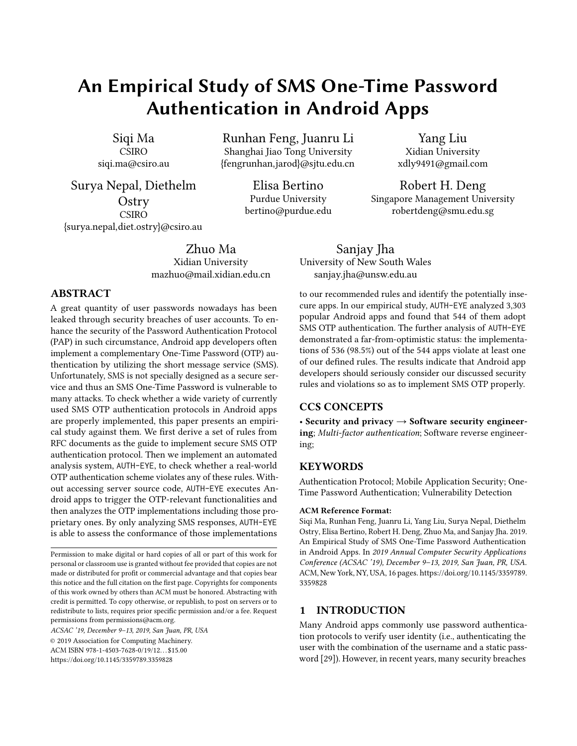AUTH-EYE relies on Burp Suite [\[38\]](#page-14-17) to collect responses from each server and store them in a log file for further parsing.

To identify the limitation on retry attempts, AUTH-EYE compares the five error messages without considering the values in the messages. If the five messages are identical, it implies that the validation system may not limit the number of attempts. In that case AUTH-EYE sends the fake value repeatedly to confirm whether there is any limit. AUTH-EYE terminates this procedure under two circumstances: 1) a different message is received, such as "Too many errors", or 2) AUTH-EYE has made 20 attempts<sup>[7](#page-8-0)</sup>. The first circumstance implies that there is a limitation, and the number of attempts so far performed by AUTH-EYE is the maximum allowed attempts. The second case indicates that the validation system may allow unlimited attempts.

If the five error messages are not the same, AUTH-EYE then identifies the word describing attempts from these messages. AUTH-EYE searches for the format as a value followed by the word "time", which refers to how many more attempts may be made. Setting a time delay is a possible additional protection mechanism for retry attempts. Given the five error messages, AUTH-EYE first searches for the word "delay" and then finds the format as a value followed by a timerelated word (i.e., "second/s", "minute/min", or "hour/h"). The value found is extracted as the required delay before another attempt.

R4: OTP Consumption. To identify whether the validation system of OTP authentication accepts a re-used OTP, AUTH-EYE first requests and consumes a valid OTP. It then attempts the consumed OTP again. If the validation succeeds for the second time, it indicates that the implemented OTP authentication does not check or remember the provided OTP for each authentication session, and permits repeated use of OTPs across multiple sessions.

R5: OTP Expiration. Given response messages, AUTH-EYE searches for the word "expire" and extracts the value after this word, that is, the validation time of the received OTP. To measure the expiration interval, we set a timer in AUTH-EYE. Once the OTP message is received, AUTH-EYE starts the timer and repeatedly sends the OTP to the server for validation until it expires. If AUTH-EYE can be validated successfully, a violation is detected (i.e., the server does not check the expiration of the OTP adequately).

R6: OTP Renewal Interval. To identify apps that violate this rule, AUTH-EYE provides a valid OTP at times corresponding to different time intervals. Because the RFC recommends

30 sec as the optimal time interval, we set the time intervals to  $[0, 30s]$ ,  $[30s, 60s]$ ,  $[60s, \infty]$ . In our test, AUTH-EYE first uploads the OTP immediately after it was received (i.e., within 30 seconds). Then, AUTH-EYE requests a new OTP and submits the value within 30 to 60 seconds. If the request succeeds, AUTH-EYE asks for another OTP value and resubmits it after 60 seconds. AUTH-EYE repeats this test with the renewal intervals of [1min, 5min], [5min, 10min], [10min, 30min], [30min, 60min], [60min, 24h], and [24h, ∞] until it is rejected by the server (or finds a still available OTP after 24 hours). If a server accepts an OTP with a lifetime more than 30 seconds, AUTH-EYE considers it as an insecure one.

# <span id="page-8-1"></span>5 EVALUATION

Our evaluation has two goals. The first is to assess the effectiveness of AUTH-EYE in automatically analyzing the implementations of OTP authentication protocols in Android apps and verify that their implementations comply with the OTP rules. The second is to use AUTH-EYE to gain insights into the frequency of violations of OTP rules in real-world Android apps.

#### 5.1 Dataset

We built our app dataset by downloading 3,303 top list apps from both Google Play and Tencent MyApp markets (986 from Google Play and 2,317 from Tencent) between February and April 2019. The dataset contains apps in 21 categories including Beauty, Books & Reference, Communication, Education, Entertainment, Finance, Health & Fitness, Lifestyle, Map & Navigation, Medical, Music & Audio, News & Magazine, Parenting, Personalization, Photography, Productivity, Shopping, Social, Tool, Travel & Local, Video Players & Editors. We selected from each category the recommended apps (about 150 apps in each category, and the most active one has around 3 billion downloads).

We observed that many apps also provide the option of login via a third party (e.g., OAuth). Note that in this paper we only assess apps with customized OTP authentication protocols, and those which use third-party authentication services with open-authentication are out of the scope of this paper.

## 5.2 OTP Login Activity Recognition

The first task of AUTH-EYE is to create an OTP list, i.e., a list of apps implementing SMS OTP. Among the the 3,303 apps in our dataset, AUTH-EYE is able to analyzed 1,364 apps, while other apps adopt app protection measures (e.g., code packing and code obfuscation) to hinder the decompilation and code analysis of AUTH-EYE. We manually inspected the apps that AUTH-EYE failed to analyze to gain some insights:

<span id="page-8-0"></span><sup>7</sup>We choose 20 attempts after considering the potential legal issue in mainland China. Also, we can easily add the guess times to determine which apps are actually vulnerable.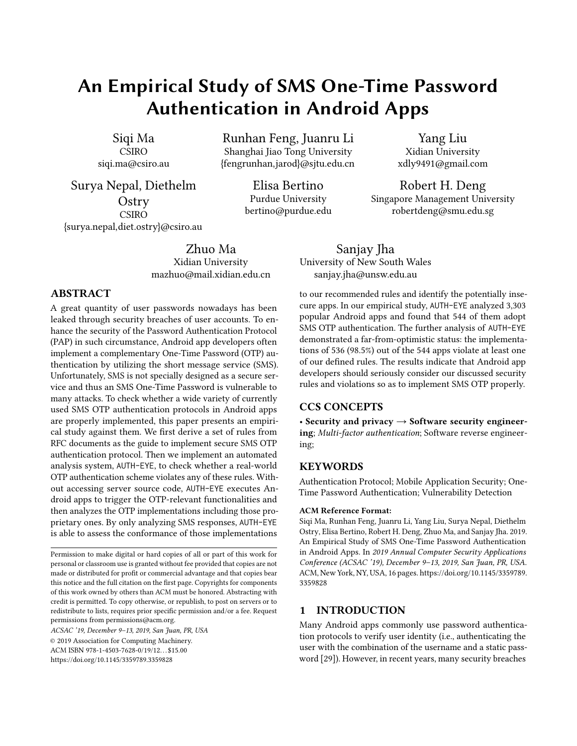<span id="page-9-0"></span>Table 1: Top-10 login activity names in apps

| <b>Login Activity Names</b> | # of apps |
|-----------------------------|-----------|
| Login                       | 105       |
| LoginSuccess                | 53        |
| doLogin                     | 37        |
| smsLogin                    | 18        |
| onLoginSuccess              | 16        |
| startLogin                  | 14        |
| requestLogin                | 14        |
| startLoginActivity          | 13        |
| supportSmsLogin             | 13        |
| serverBindLoginRequest      | 13        |

- 648 apps are protected using code packing against decompilation, in which their ".class" files are encrypted. These files will only be decrypted during app execution. Since we cannot extract the source code from encrypted apps, AUTH-EYE is unable to locate their login Activities and cannot execute them.
- AUTH-EYE are not able to analyze 1291 apps because 1) 695 of them use code obfuscation to prevent the code from being analyzed and 2) 596 apps are unable to be executed due to potential anti-debugging code.

We argue that AUTH-EYE could also adopt advanced analysis technique such as unpacking to handle these issues, but this often involves manual efforts (e.g., patching antidebugging code) and is not scalable. More importantly, we observe that apps developed by large companies (e.g., Microsoft, Alibaba, Tencent, Baidu) seldom adopt code protection due to stability and compatibility requirements. Therefore we leave the analysis of protected apps as a future work and only focus on those unprotected apps.

AUTH-EYE identified 1069 (78.3%) with declared login Activities in successfully analyzed 1,364 apps, and the top-10 commonly used login Activity names are listed in Table [1.](#page-9-0) It is clear from the list that developers do prefer to use the word "login" to describe a login Activity. Given the list of apps with identified login Activities, AUTH-EYE then further identified how many implement OTP authentication. In total, 544 (58.2%) app adopt OTP authentication. Among these 544 apps, 354 use two-factor authentication (both password authentication and OTP authentication), while 190 apps only contain OTP authentication. In this study, we only discuss the validation OTP authentication and leave the evaluation of password authentication protocols as future work. Hence, our discussion focuses only on the apps in the OTP list, i.e., 544 apps implementing SMS OTP authentication. Note that

for apps with password authentication involved, we manually registered an accounts in those apps and typed in the combination of username and password.

## 5.3 Results

5.3.1 Rules Violations. Table [2](#page-9-1) lists the number of apps that violate the OTP rules (see Section [2\)](#page-2-0). Only eight apps out of the 544 apps did not violate any of the OTP rules. We now discuss the detected violations of OTP rules in the order of their prevalence.

Table 2: Violations of OTP rules

<span id="page-9-1"></span>

| <b>OTP Rules</b>         | # of apps |
|--------------------------|-----------|
| R6: OTP Renewal Interval | 536       |
| R3: Retry Attempts       | 324       |
| R2: OTP Length           | 209       |
| R4: OTP Consumption      | 106       |
| R1: OTP Randomness       | 71        |
| R5: OTP Expiration       | 40        |

R6: OTP Renewal Interval. A large number of apps, 536 in total, violated this rule, making it the most frequently violated OTP rule. Only eight apps follow the requirement proposed by R6. Further inspection revealed that in 165 apps, the OTP validation systems did not require OTP values to be renewed. For the remaining failed apps (i.e., 371 apps), the intervals to renew OTP values set by their validation systems are shown in Figure [2.](#page-10-0) Most validation systems (122 apps) are set to renew OTP values at intervals between 5 minutes to 10 minutes. The validation systems of 112 apps generate new OTP values within the time interval of one minute to five minutes. Even worse, AUTH-EYE identified that the validation systems in 15 apps accept OTPs that have been delayed for 24 hours. This design results in the TOTP authentication protocol behaving no better than a normal OTP authentication protocol. The developers of these apps might deliberately choose this option since accepting a large range of delays as valid is much more user-friendly.

R3: Retry Attempts. This rule limits the number of retry attempts allowed by validation systems. It is the second most violated OTP rule. AUTH-EYE identified 324 (59.6%) apps out of 544 apps violating this rule, i.e., allowing more than five attempts.

Figure [3](#page-10-1) shows the number of attempts allowed by validation systems. Only 220 (40.44%) apps have OTP validation systems complying with the rule, and most of these apps (77.2%) are from the category of Shopping and a few are from the Social category.

For the other apps that violate R3 (i.e., 324 apps), 111 apps allow 6 to 10 retry attempts, and 31 apps allow 11 to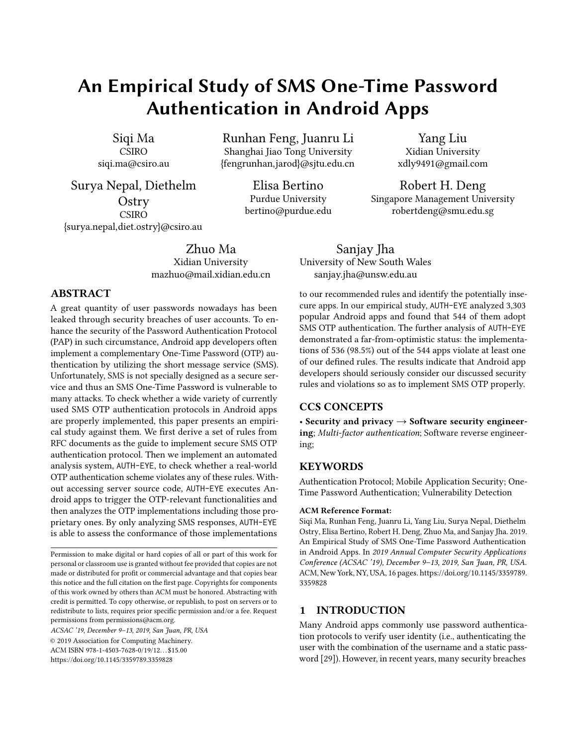An Empirical Study of SMS OTP Authentication in Android Apps ACSAC '19, December 9–13, 2019, San Juan, PR, USA

<span id="page-10-1"></span>

<span id="page-10-0"></span>

Figure 2: OTP renewal interval (Minutes)

20 attempts. Because AUTH-EYE was set to send a fake OTP at most 20 times for each app, it identified that the OTP validation systems in 126 apps still work after 20 times of retry. We surmised that these validation systems may not implement any limitation and are thus vulnerable to brute force attacks.

Additionally, AUTH-EYE identified the delay protection implemented in the OTP validation systems of 97 apps. In these apps, the user has to wait for a specific period if an incorrect OTP value is entered. The waiting period set in these apps is usually one minute.

R2: OTP Length. The third most violated OTP rule is setting the length of OTP values at fewer than six digits. As mentioned in Section [2,](#page-2-0) generating an OTP with short length (i.e., length < 6) negates the security benefits of the OTP authentication protocol.

In total, the validation systems in 209 apps use values with less than six digits as OTP values. Although the OTP length could be set at 10 digits, we discovered that all the validation systems generate OTPs with at most six digits.

R4: OTP Consumption. This rule is violated by 106 apps out of the 544 apps. Here, users are allowed to reuse an OTP for identity verification. A unique value for each validation session is essential in the OTP authentication protocol to protect against replay attacks. Accepting a repeated OTP value negates the benefit of using an OTP and can even make the OTP authentication protocol weaker than a password authentication protocol.

Apps violated this OTP rule are only from eight categories, Shopping, Video Players & Editor, Books & Reference, Music & Audio, Travel & Local, Entertainment and productivity. 37.7% vulnerable apps and 18.9% vulnerable apps are from the categories of Books & Reference and Video Players & Editor, respectively.



Figure 3: Number of retry attempts allowed in apps

R1: OTP Randomness. This rule was violated by 71 apps. two types of errors are identified by AUTH-EYE: repeated values and static values.

AUTH-EYE found 56 apps generating repeated OTP values. To be specific, 21 apps generate a sequence of unique OTP values and then repeat the same sequence. The validation systems of 35 apps use the same OTP for  $n$  different requests, that is, the same OTP value is repeated  $n$  times. Based on our manual inspection, each value is repeated two or three times (i.e.,  $n = 2$  or  $n = 3$ ).

In addition, AUTH-EYE discovered that 15 apps provide only static OTP values to users for OTP authentication. This type of error makes the OTP authentication protocol perform as a simple password authentication protocol, in which the username is the user's mobile phone number and the password is the fixed (short) OTP value. An attacker can then easily access the user's account if the mobile phone number is leaked because the OTP value is shorter and simpler than a static password set by the client.

The above results indicate that developers might not be aware of the critical importance played by randomness in authentication.

R5: OTP Expiration. AUTH-EYE identified 73 apps that use TOTP authentication protocols, in which the OTP value may expire. Interestingly, only 33 apps reject the OTP value if it is expired, while the identity verification of 40 apps passed by providing expired OTP values. This implies that the implemented TOTP authentication protocols fail to work properly in the corresponding servers.

For the remaining 471 apps, AUTH-EYE did not discover any expiration set for OTP values by only analyzing the responses. We might suppose that their validation systems allow the OTP values to be valid forever.

We manually inspected those 1069 apps and found that 934 (87.4%) of them did implement login Activities. AUTH-EYE mistakenly identified some apps because their Activity names,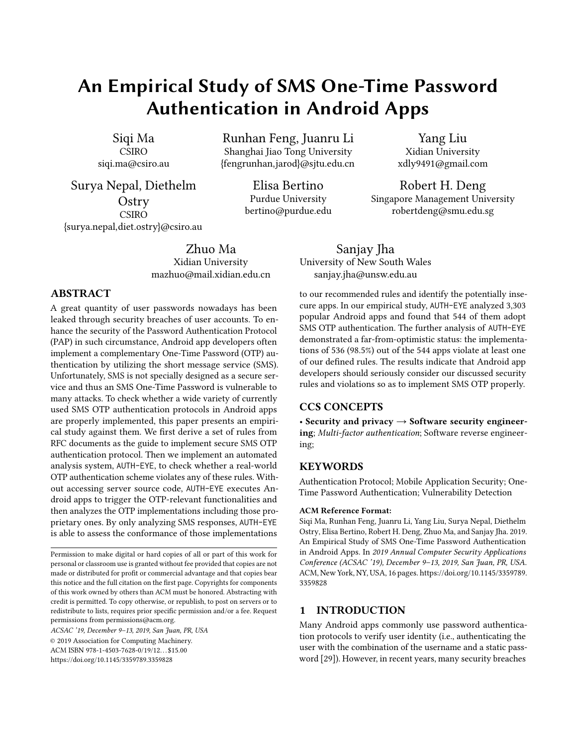<span id="page-11-0"></span>Table 3: Violation of multiple OTP rules

|    | # of apps   multiple-rules violated |
|----|-------------------------------------|
| 65 | <b>R2 &amp; R4</b>                  |
| 13 | R1 & (R2 or R3)                     |
| 9  | <b>R4 &amp; R5</b>                  |
|    | $R2 \& R3$                          |

such as loginFail and thirdLogin, have higher semantic similarity scores.

5.3.2 Results for Multiple-Rules Violations. We also investigated the status of multiple OTP rules violation in our tested apps, and listed the cases that severely threat to the security of OTP authentication in Table [3.](#page-11-0) As shown in the table, the most frequently occurred situation is the violation of both R2 and R4 (65 apps). In this situation, an attacker could guess the OTP through a brute force attack, since the number of legal OTPs is limited and the server also accept a used OTP. Another common mistake is that 13 apps not only used an immutable OTP, but also violate other rules such as allowing an attack to guess the OTP, or always reuse the immutable OTP if a legal user does not enforce a new login request. There are also nine apps violate both R4 and R5, and two apps violate R2 and R3 simultaneously. All those apps that violate multiple OTP rules are considered as highly vulnerable, and we have contacted the developers and reported these issues.

Note that we found all "potential vulnerable" apps violated R6 (i.e., the valid time window exceeds 30 seconds). Compared with a single rule violation, violations of both R6 and other rules will increase the risk. However, the violation of R6 often does not directly lead to an attack. Therefore, we do not consider this issue in our multiple rules violation investigation.

#### <span id="page-11-1"></span>5.4 Case Studies

This section aims to highlight insights from case studies based on our manual inspections.

Matchless Functionality. We found some apps whose validation systems do not match with the responses.

–Expiration. We investigated a game manager app with more than 100,000 downloads. It transmits messages in secure ciphertext formats and the server responses suggest that authentication protocols (i.e., password authentication and OTP authentication) are correctly implemented. However, AUTH-EYE flagged this app because its validation system still accepts "expired" OTPs. By parsing the server responses, AUTH-EYE discovered that each OTP expired after 30 seconds. However, when AUTH-EYE consumed each OTP after 1

minute and 10 minutes, it passed the validation. We agree that remembering and validating OTP values for all login requests consume a large amount of storage and memory on the server side; but app security makes it essential to implement an efficient reset method for clearing expired values.

–Consumption. Users commonly use finance apps to manage their investments. It is crucial that financial information is protected at all times. However, we found that the validation systems in three financial apps accept previously consumed OTPs. The OTP authentication of a financial app was labeled by AUTH-EYE as vulnerable. By checking its responses, we found that this app violates almost all OTP rules except for R1 (OTP Randomness) and R5 (Retry Attempts). The only protection scheme implemented is that its validation system blocks the user's account and does not generate any OTP values if the user keeps sending requests more than five times. While verifying user identity, this app not only accepts consumed OTP values, but also transmits mobile phone numbers and OTP values in plaintext. This means that users' private information (i.e., login information and private data) is exposed to attackers.

Deceptive Randomness. Apps violating R1 (OTP Randomness) are from the categories of Beauty, Finance, News & Magazine, Photography and Video Players & Editors. The percentage from each category with violations is 11%, 7%, 33%, 3%, and 46%, respectively. We investigated these apps in details. For 6 of the 15 apps which generate static values for OTP authentication, the OTP value is only renewed when the previous one is consumed. The other apps keep sending the same value to users.

Exposed Transmission. As well as analyzing server responses, AUTH-EYE monitored traffic messages to identify whether an error occurred. From traffic messages, AUTH-EYE identified that most messages containing OTP values are not well-protected. The validation systems of 188 apps transmit the OTP values in plaintext over the unsecured network. 36 apps protect OTP values by using only an MD5 hash without salt, which is considered insecure [\[19\]](#page-14-18). With respect to message transmission, we found that the most secure category is Travel & Local, where 98.7% apps encrypt their transmitted messages. The categories of Shopping and Social perform the worst with only 72% and 74.6% apps being secure. We observed that a Music app (10,070,000 downloads) only uses the user's mobile phone number as the password no matter what user password and OTP are provided, and only the mobile phone number is transmitted to the validation system.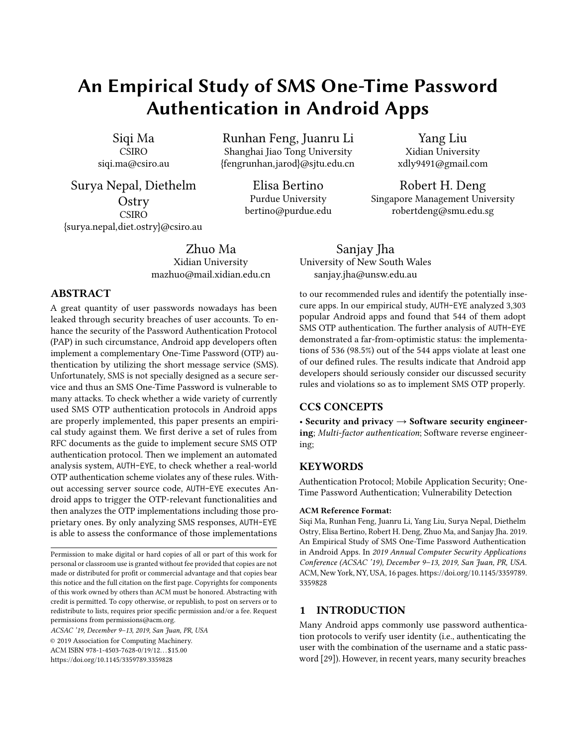An Empirical Study of SMS OTP Authentication in Android Apps ACSAC '19, December 9–13, 2019, San Juan, PR, USA

# 5.5 Discussion

We have demonstrated through an experimental evaluation that AUTH-EYE is effective in assessing the design and implementation of OTP authentication protocols in Android apps. However, it has some drawbacks, outlined as follows.

- Discovering Vulnerabilities. AUTH-EYE executes each app for SMS OTP validation and points out OTP rules violated by the validation system. However, it is difficult for AUTH-EYE to discover what vulnerabilities exist in the implementation and where they are located Consider a case that violates R1 (i.e., OTP randomness). The most popular way of implementing this in Android is to invoke the function SecureRandom(.), a pseudorandom number generator. In practice, it should not be seeded with a constant number; otherwise, the function will produce a predictable output sequence across all implementations. However, some developers still use seeds as "000000" or "123456" [\[31\]](#page-14-19). Such details cannot be inferred in general by only analyzing the server responses.
- Vulnerability Certainty. Currently, all the implementations that violate any of the OTP rules are tagged as vulnerable. There might be other protection mechanisms implemented in the validation system, beyond those known to AUTH-EYE. For example, we discovered that some Finance apps transmitted mobile phone numbers and OTPs in ciphertext or over a secure connect. These protection schemes confirm that transmissions are under secure circumstances, as long as the cryptographic primitives or secure connection are correctly implemented. This is, however, outside the scope of this work.
- Black Box Analysis. AUTH-EYE treats the validation system as a black box, and only analyzes server responses. We assume that such responses reflect functionalities implemented in the code. However, this assumption does not always hold as our manual inspections described in Section [5](#page-8-1) found, such as in the case of the Finance app discussed in Section [5.4.](#page-11-1) Based on a given response, one may conclude that the implementation complies with the implementation rules, but nevertheless functionalities defined in the validation system may actually not be correctly implemented.
- Field Identification. AUTH-EYE identifies the required information from the server responses through keywords match only. Nonetheless, the formats of the responses are not always shown as the same. AUTH-EYE might miss some responses in other format or identify an incorrect information from the responses.

# 6 RELATED WORK

This section provides a brief review of related work.

# 6.1 Security Analysis of One-Time Password Authentication Protocols

Several vulnerability detection approaches and protection schemes are proposed to defend against attacks on the steps of protocols, e.g. transmission and password generation. TrustOTP [\[44\]](#page-14-20) builds a TrustZone to protect against attacks such as Denial-of-Service (DoS). It isolates OTP code and data from the mobile OS to ensure that the generated OTPs and seeds are secure even if the mobile OS is compromised. Differently, Hamdare et al. [\[23\]](#page-14-21) and Eldefrawy et al. [\[16\]](#page-14-22) focused on securing the authentication during OTP transmission and OTP generation, respectively. Hamdare et al. proposed a scheme to protect the OTP mechanism used for e-commerce transactions from Man-In-The-Middle (MITM) attacks. Instead of transmitting a simple OTP, they combined the OTP with a secure key and created a new transaction password by encrypting the combination using RSA. Eldefrawy et al. focused on securing OTP generation by generating multiple OTPs for both service providers and consumers. The low computation cost of their scheme makes it suitable for mobile devices.

The focus of previous work is to enhance the security of OTP authentication protocols. However, we focused on analyzing the correctness of OTP implementations and proposed an approach to check server responses instead of directly performing code analysis. Mulliner et al.. [\[37\]](#page-14-23) proposed a similar research that conducted a survey by introducing several attacks and weaknesses of SMS OTPs such as SIM swap attack, wireless interception. To protect SMS OTP attacks, the possible defense techniques are generally provided. However, details to exploit vulnerabilities and protect SMS OTP authentication are not given. Dmitrienko et al. [\[12\]](#page-14-24) investigated the implementation of two-factor authentication of well-known Internet service providers (e.g., Google, Dropbox, Twitter, and Facebook). They applied cross-platform (i.e., PC-mobile) infection to control both PC and mobile devices involved in the authentication protocol and identified weaknesses that could be exploited in the SMS-based transaction authentication schemes of four large banks and Google. Their approach determines whether an authentication implementation is secure, but cannot provide detailed information on the causes. AUTH-EYE, however, does identify the causes of implementation flaws.

# 6.2 Dynamic Vulnerability Analysis of Mobile Apps

Several approaches have been proposed for dynamic analysis of mobile apps. The approach by Zuo et al. [\[53\]](#page-15-4) detects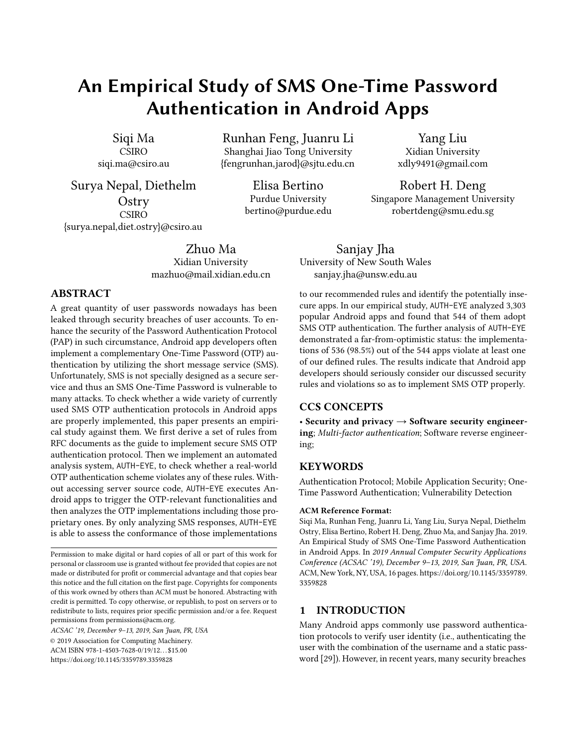vulnerabilities arising from SSL error handling in the mobile platform. They statically identified customized error handling processes rewritten by developers. For each process, their system executes an event to trigger the error and checks whether the error is processed correctly. This approach requires access to the source code. In contrast, AUTH-EYE assumes that the server source code is not available, and uses only decompiled Android app code.

D'Orazio et al. [\[13\]](#page-14-25) relied on an adversary model specifying secure and insecure states to detect vulnerabilities that can expose users' sensitive data in mobile devices. The drawback of their approach is that complete code coverage cannot be ensured through app execution. AUTH-EYE instead achieves full code coverage because the entire login activities in apps are examined; thus, all the authentication relevant functionalities can all be triggered. Also relying on an attack scenario, IntentDroid [\[24\]](#page-14-26) identifies Inter-Application Communication (IAC) vulnerabilities by executing attacks on eight specified vulnerabilities. It analyzes activity components of apps by implementing attacks based on effect path coverage, with low overhead. Although IntentDroid only uses a small set of tests to achieve high coverage analyses, path analysis mechanisms cannot be accurately applied to decompiled app code.

AUTH-EYE is similar to SmartGen [\[52\]](#page-15-3), which performs incontext analysis to expose harmful URLs through symbolic execution in mobile apps. Since server URLs are invisible, SmartGen triggers the appropriate execution through APIs in app code. The main difference between SmartGen and AUTH-EYE is, however, that AUTH-EYE does not rely on dependency patterns to identify the target functions. It uses only limited code information (i.e., class names and function names) that are extracted easily and completely. Smart-Gen targets on detecting of hidden malicious URLs whereas AUTH-EYE identifies violations of the OTP rules in implementations of OTP authentication protocols.

## 7 CONCLUSION

In this paper we defined six OTP rules based on the relevant RFCs and proposed a novel automated system, AUTH-EYE, to check for violations of those rules. We used AUTH-EYE to perform an empirical study on a large number of Android applications. Our approach treats each server as a black box and infers the correctness of its OTP implementation code by analyzing server responses generated after a sequence of login requests. We assessed 3,303 Android apps and identified 544 apps implemented OTP authentication. Only eight of these 544 apps correctly implemented the OTP authentication protocols (i.e., satisfied all six OTP rules). Further analysis revealed the surprising fact that the validation systems of apps in security-critical domains, such as Finance, Shopping, and Social, are not as secure as one might expect. The example cases discussed in Section [5.4](#page-11-1) show that poor implementations make users' accounts vulnerable to attack and may even expose private data directly. As future work, we plan to extend AUTH-EYE to examine additional OTP rules and perform a more extensive survey of real-world app OTP security. A new dynamic analysis tool, CuriousDroid [\[10\]](#page-14-27), is introduced. It is a context-based technique and can achieve higher accuracy than Monkey. We will refer to this technique to improve AUTH-EYE. The interested readers could also ac-cess our Github page<sup>[8](#page-13-6)</sup> to obtain source code of AUTH-EYE and help improve the analysis.

#### ACKNOWLEDGEMENT

This work was mainly supported by CSIRO Research Office. It was also partially supported by the General Program of National Natural Science Foundation of China (Grant No.61872237), the Key Program of National Natural Science Foundation of China (Grant No.U1636217), and the Major Project of Ministry of Industry and Information Technology of China ([2018] No.36).

## REFERENCES

- <span id="page-13-3"></span>[1] Android [n. d.]. UI Automator. [https://developer.android.com/training/]( https://developer.android.com/training/testing/ui-automator) [testing/ui-automator.]( https://developer.android.com/training/testing/ui-automator)
- <span id="page-13-5"></span>[2] Android. [n. d.]. UI/Application Exerciser Monkey Tool. [https://](https://developer.android.com/studio/test/monkey) [developer.android.com/studio/test/monkey.](https://developer.android.com/studio/test/monkey)
- [3] Paul Ashley, Heather Hinton, and Mark Vandenwauver. 2001. Wired versus wireless security: The Internet, WAP and iMode for e-commerce. In In Proceedings of the 17th Annual Computer Security Applications Conference (ACSAC). IEEE, 296–306.
- [4] Zhongjie Ba and Kui Ren. 2017. Addressing smartphone-based multifactor authentication via hardware-rooted technologies. In In Proceedings of the 37th IEEE International Conference on Distributed Computing Systems (ICDCS). IEEE, 1910–1914.
- <span id="page-13-0"></span>[5] CITI Bank. [n. d.]. CITI Bank Mobile Token. [https://www.citibank.]( https://www.citibank.com.au/aus/banking/citi-mobile-token.htm) [com.au/aus/banking/citi-mobile-token.htm.]( https://www.citibank.com.au/aus/banking/citi-mobile-token.htm)
- <span id="page-13-1"></span>[6] Antonio Bianchi, Eric Gustafson, Yanick Fratantonio, Christopher Kruegel, and Giovanni Vigna. 2017. Exploitation and mitigation of authentication schemes based on device-public information. In In Proceedings of the 33rd Annual Computer Security Applications Conference (ACSAC). ACM, 16–27.
- [7] Joseph Bonneau, Cormac Herley, Paul C Van Oorschot, and Frank Stajano. 2012. The quest to replace passwords: A framework for comparative evaluation of web authentication schemes. In In Proceedings of the 33rd IEEE Symposium on Security and Privacy (S & P). IEEE, 553–567.
- <span id="page-13-2"></span>[8] Sven Bugiel, Stephen Heuser, and Ahmad-Reza Sadeghi. 2013. Flexible and fine-grained mandatory access control on android for diverse security and privacy policies. In In Proceedings of the 22nd Usenix Security Symposium (USENIX). 131–146.
- <span id="page-13-4"></span>[9] Simon Butler, Michel Wermelinger, Yijun Yu, and Helen Sharp. 2011. Mining java class naming conventions. In In the proceedings of the 27th IEEE International Conference on Software Maintenance (ICSM). IEEE, 93–102.

<span id="page-13-6"></span><sup>8</sup>https://github.com/GoSSIP-SJTU/auth-eye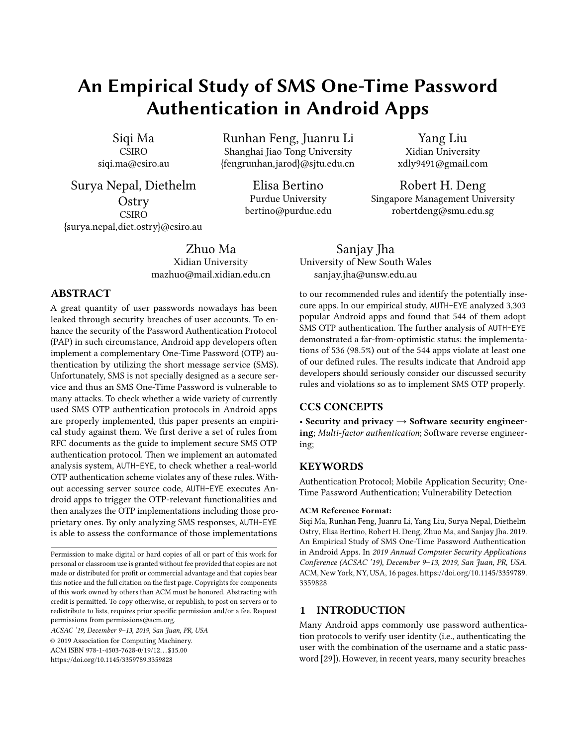- <span id="page-14-27"></span>[10] Patrick Carter, Collin Mulliner, Martina Lindorfer, William Robertson, and Engin Kirda. 2016. CuriousDroid: automated user interface interaction for android application analysis sandboxes. In International Conference on Financial Cryptography and Data Security. Springer, 231–249.
- <span id="page-14-9"></span>[11] Joseph A Cazier and B Dawn Medlin. 2006. Password security: An empirical investigation into e-commerce passwords and their crack times. The Journal of Information Systems Security 15, 6 (2006), 45–55.
- <span id="page-14-24"></span>[12] Alexandra Dmitrienko, Christopher Liebchen, Christian Rossow, and Ahmad-Reza Sadeghi. 2014. On the (in) security of mobile two-factor authentication. In In Proceedings of the 18th International Conference on Financial Cryptography and Data Security (FC). Springer, 365–383.
- <span id="page-14-25"></span>[13] Christian J D'Orazio, Rongxing Lu, Kim-Kwang Raymond Choo, and Athanasios V Vasilakos. 2017. A Markov adversary model to detect vulnerable iOS devices and vulnerabilities in iOS apps. The Journal of Applied Mathematics and Computation 293 (2017), 523–544.
- <span id="page-14-7"></span>[14] D Eastlake 3rd, Steve Crocker, and Jeff Schiller. 1994. Randomness recommendations for security. Technical Report.
- <span id="page-14-8"></span>[15] D Eastlake 3rd, J Schiller, and Steve Crocker. 2005. Randomness requirements for security. Technical Report.
- <span id="page-14-22"></span>[16] Mohamed Hamdy Eldefrawy, Khaled Alghathbar, and Muhammad Khurram Khan. 2011. OTP-based two-factor authentication using mobile phones. In In Proceedings of the 8th International Conference on Information Technology: New Generations (ITNG). IEEE, 327–331.
- [17] Ming Fan, Jun Liu, Xiapu Luo, Kai Chen, Zhenzhou Tian, Qinghua Zheng, and Ting Liu. 2018. Android malware familial classification and representative sample selection via frequent subgraph analysis. The Journal of IEEE Transactions on Information Forensics and Security (TIFS) 13, 8 (2018), 1890–1905.
- [18] John Franks, Phillip Hallam-Baker, Jeffrey Hostetler, Scott Lawrence, Paul Leach, Ari Luotonen, and Lawrence Stewart. 1999. HTTP authentication: Basic and digest access authentication. Technical Report.
- <span id="page-14-18"></span>[19] Praveen Gauravaram. 2012. Security Analysis of salt|| password Hashes. In In Proceedings of the 1st International Conference on Advanced Computer Science Applications and Technologies (ACSAT). IEEE, 25–30.
- <span id="page-14-1"></span>[20] Google. [n. d.]. Google Authenticator. [https://play.google.com/store/]( https://play.google.com/store/apps/details?id=com.google.android.apps.authenticator2&hl=en_AU) [apps/details?id=com.google.android.apps.authenticator2&hl=en\\_AU.]( https://play.google.com/store/apps/details?id=com.google.android.apps.authenticator2&hl=en_AU)
- <span id="page-14-2"></span>[21] Nancie Gunson, Diarmid Marshall, Hazel Morton, and Mervyn Jack. 2011. User perceptions of security and usability of single-factor and two-factor authentication in automated telephone banking. The International Journal of Computers & Security 30, 4 (2011), 208–220.
- <span id="page-14-3"></span>[22] Neil Haller, Craig Metz, Phil Nesser, and Mike Straw. 1998. A one-time password system. Technical Report.
- <span id="page-14-21"></span>[23] Safa Hamdare, Varsha Nagpurkar, and Jayashri Mittal. 2014. Securing SMS based one time password technique from Man in the middle attack. arXiv preprint arXiv:1405.4828 (2014).
- <span id="page-14-26"></span>[24] Roee Hay, Omer Tripp, and Marco Pistoia. 2015. Dynamic detection of inter-application communication vulnerabilities in Android. In In Proceedings of the 24th International Symposium on Software Testing and Analysis (ISSTA). ACM, 118–128.
- <span id="page-14-10"></span>[25] Kyle Ingols, Richard Lippmann, and Keith Piwowarski. 2006. Practical attack graph generation for network defense. In In Proceedings of the 22nd IEEE Annual Computer Security Applications Conference (ACSAC). IEEE, 121–130.
- [26] Jongpil Jeong, Min Young Chung, and Hyunseung Choo. 2008. Integrated OTP-based user authentication scheme using smart cards in home networks. In In Proceedings of the 41st Annual Hawaii International Conference on System Sciences (HICSS 2008). IEEE, 294–294.
- <span id="page-14-11"></span>[27] Xing Jin, Xuchao Hu, Kailiang Ying, Wenliang Du, Heng Yin, and Gautam Nagesh Peri. 2014. Code injection attacks on html5-based mobile apps: Characterization, detection and mitigation. In In Proceedings of the 21st ACM SIGSAC Conference on Computer and Communications

Security (CCS). ACM, 66–77.

- [28] Pawel Laka and Wojciech Mazurczyk. 2018. User perspective and security of a new mobile authentication method. The Journal of Telecommunication Systems 69, 3 (2018), 365–379.
- <span id="page-14-0"></span>[29] Leslie Lamport. 1981. Password authentication with insecure communication. The Journal of Communications of the ACM 24, 11 (1981), 770–772.
- <span id="page-14-4"></span>[30] Jaeho Lee, Ang Chen, and Dan S Wallach. 2019. Total Recall: Persistence of Passwords in Android.. In In Proceedings of The Network and Distributed System Security Symposium (NDSS).
- <span id="page-14-19"></span>[31] Siqi Ma, David Lo, Teng Li, and Robert H Deng. 2016. Cdrep: Automatic repair of cryptographic misuses in android applications. In In Proceedings of the 11th ACM on Asia Conference on Computer and Communications Security (ASIACCS). ACM, 711–722.
- <span id="page-14-15"></span>[32] Siqi Ma, Shaowei Wang, David Lo, Robert Huijie Deng, and Cong Sun. 2015. Active semi-supervised approach for checking app behavior against its description. In In Proceedings of the 39th IEEE Annual Computer Software and Applications Conference (ICSAC), Vol. 2. IEEE, 179–184.
- <span id="page-14-13"></span>[33] Christopher D Manning, Christopher D Manning, and Hinrich Schütze. 1999. Foundations of statistical natural language processing. MIT press.
- <span id="page-14-14"></span>[34] Tomas Mikolov, Kai Chen, Greg Corrado, and Jeffrey Dean. 2013. Efficient estimation of word representations in vector space. arXiv preprint arXiv:1301.3781 (2013).
- <span id="page-14-5"></span>[35] David M'Raihi, Mihir Bellare, Frank Hoornaert, David Naccache, and Ohad Ranen. 2005. Hotp: An hmac-based one-time password algorithm. Technical Report.
- <span id="page-14-6"></span>[36] David M'Raihi, Salah Machani, Mingliang Pei, and Johan Rydell. 2011. Totp: Time-based one-time password algorithm. Technical Report.
- <span id="page-14-23"></span>[37] Collin Mulliner, Ravishankar Borgaonkar, Patrick Stewin, and Jean-Pierre Seifert. 2013. SMS-based one-time passwords: attacks and defense. In In Proceedings of the 10th International Conference on Detection of Intrusions and Malware, and Vulnerability Assessment (DIMVA). Springer, 150–159.
- <span id="page-14-17"></span>[38] PortSwigger. [n. d.]. Burp Suite. [https://portswigger.net/burp.]( https://portswigger.net/burp)
- [39] William K Pratt, Julius Kane, and Harry C Andrews. 1969. Hadamard transform image coding. In Proceedings of the IEEE Journals and Magazines 57, 1 (1969), 58–68.
- [40] Blake Ross, Collin Jackson, Nick Miyake, Dan Boneh, and John C Mitchell. 2005. Stronger Password Authentication Using Browser Extensions.. In In Proceedings of the 14th Usenix Security Symposium (USENIX). Baltimore, MD, USA, 17–32.
- <span id="page-14-16"></span>[41] SnowBall. [n. d.]. Porter Stemmer. [http://tartarus.org/martin/]( http://tartarus.org/martin/PorterStemmer/java.txt) [PorterStemmer/java.txt.]( http://tartarus.org/martin/PorterStemmer/java.txt)
- <span id="page-14-12"></span>[42] PNF Software. [n. d.]. JEB Decompiler. [https://www.pnfsoftware.com/.]( https://www.pnfsoftware.com/)
- [43] Avinash Sudhodanan, Roberto Carbone, Luca Compagna, Nicolas Dolgin, Alessandro Armando, and Umberto Morelli. 2017. Large-scale analysis & detection of authentication cross-site request forgeries. In In Proceedings of the 2nd IEEE European Symposium on Security and Privacy (EuroS&P). IEEE, 350–365.
- <span id="page-14-20"></span>[44] He Sun, Kun Sun, Yuewu Wang, and Jiwu Jing. 2015. TrustOTP: Transforming smartphones into secure one-time password tokens. In In Proceedings of the 22nd ACM SIGSAC Conference on Computer and Communications Security (CCS). ACM, 976–988.
- [45] Mariano Luis T Uymatiao and William Emmanuel S Yu. 2014. Timebased OTP authentication via secure tunnel (TOAST): A mobile TOTP scheme using TLS seed exchange and encrypted offline keystore. In In Proceedings of the 4th IEEE International Conference on Information Science and Technology (ICIST). IEEE, 225–229.
- [46] Ignacio Velásquez, Angélica Caro, and Alfonso Rodríguez. 2018. Authentication schemes and methods: A systematic literature review. The International Journal of Information and Software Technology 94 (2018),